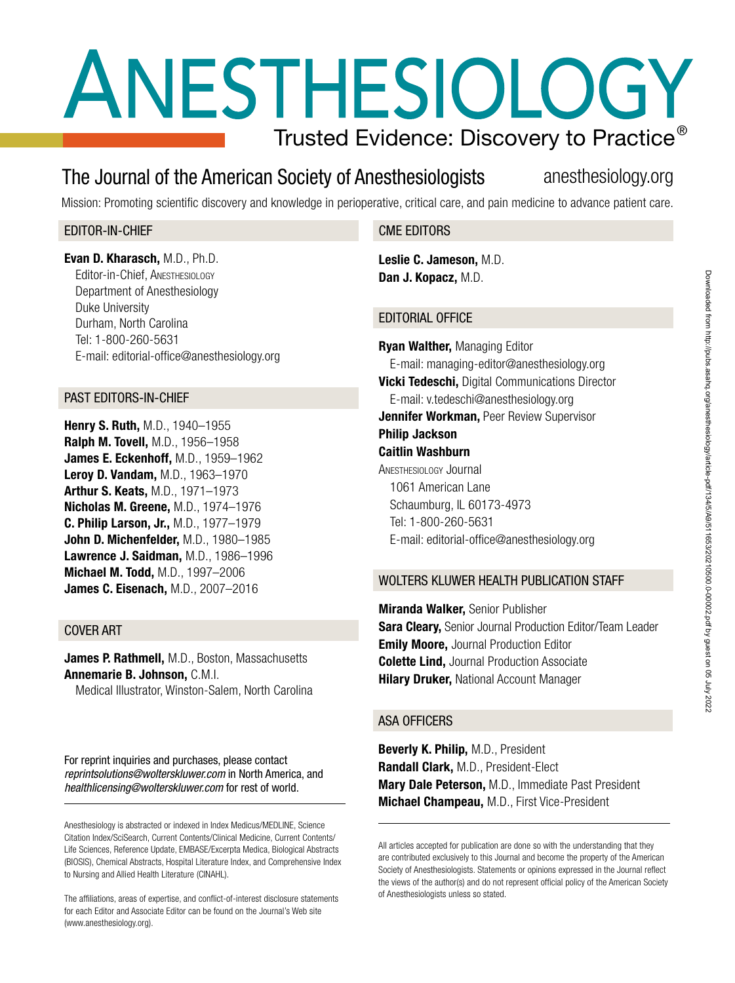# ANESTHESIOLOGY Trusted Evidence: Discovery to Practice $^\circ$

## The Journal of the American Society of Anesthesiologists anesthesiology.org

Mission: Promoting scientific discovery and knowledge in perioperative, critical care, and pain medicine to advance patient care.

### EDITOR-IN-CHIEF

Evan D. Kharasch, M.D., Ph.D. Editor-in-Chief, Anesthesiology Department of Anesthesiology Duke University Durham, North Carolina Tel: 1-800-260-5631 E-mail: editorial-office@anesthesiology.org

#### PAST EDITORS-IN-CHIEF

Henry S. Ruth, M.D., 1940–1955 Ralph M. Tovell, M.D., 1956–1958 James E. Eckenhoff, M.D., 1959–1962 Leroy D. Vandam, M.D., 1963–1970 Arthur S. Keats, M.D., 1971–1973 Nicholas M. Greene, M.D., 1974–1976 C. Philip Larson, Jr., M.D., 1977–1979 John D. Michenfelder, M.D., 1980–1985 Lawrence J. Saidman, M.D., 1986–1996 Michael M. Todd, M.D., 1997–2006 James C. Eisenach, M.D., 2007–2016

#### COVER ART

James P. Rathmell, M.D., Boston, Massachusetts Annemarie B. Johnson, C.M.I.

Medical Illustrator, Winston-Salem, North Carolina

For reprint inquiries and purchases, please contact *reprintsolutions@wolterskluwer.com* in North America, and *healthlicensing@wolterskluwer.com* for rest of world.

Anesthesiology is abstracted or indexed in Index Medicus/MEDLINE, Science Citation Index/SciSearch, Current Contents/Clinical Medicine, Current Contents/ Life Sciences, Reference Update, EMBASE/Excerpta Medica, Biological Abstracts (BIOSIS), Chemical Abstracts, Hospital Literature Index, and Comprehensive Index to Nursing and Allied Health Literature (CINAHL).

The affiliations, areas of expertise, and conflict-of-interest disclosure statements for each Editor and Associate Editor can be found on the Journal's Web site (www.anesthesiology.org).

#### CME EDITORS

Leslie C. Jameson, M.D. Dan J. Kopacz, M.D.

### EDITORIAL OFFICE

Ryan Walther, Managing Editor E-mail: managing-editor@anesthesiology.org **Vicki Tedeschi, Digital Communications Director** E-mail: [v.tedeschi@anesthesiology.org](mailto:v.tedeschi@anesthesiology.org) **Jennifer Workman, Peer Review Supervisor** Philip Jackson Caitlin Washburn Anesthesiology Journal 1061 American Lane Schaumburg, IL 60173-4973 Tel: 1-800-260-5631 E-mail: editorial-office@anesthesiology.org

### WOLTERS KLUWER HEALTH PUBLICATION STAFF

Miranda Walker, Senior Publisher **Sara Cleary, Senior Journal Production Editor/Team Leader Emily Moore, Journal Production Editor Colette Lind, Journal Production Associate Hilary Druker, National Account Manager** 

#### ASA OFFICERS

Beverly K. Philip, M.D., President Randall Clark, M.D., President-Elect Mary Dale Peterson, M.D., Immediate Past President Michael Champeau, M.D., First Vice-President

All articles accepted for publication are done so with the understanding that they are contributed exclusively to this Journal and become the property of the American Society of Anesthesiologists. Statements or opinions expressed in the Journal reflect the views of the author(s) and do not represent official policy of the American Society of Anesthesiologists unless so stated.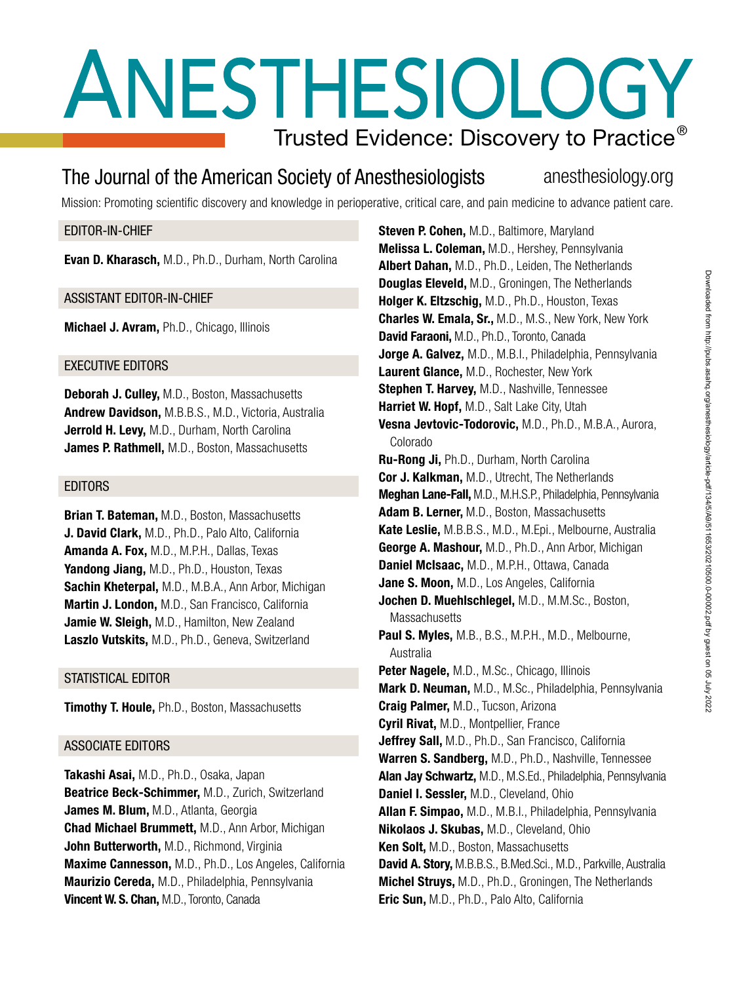# ANESTHESIOLOGY Trusted Evidence: Discovery to Practice $^\circ$

## The Journal of the American Society of Anesthesiologists anesthesiology.org

Mission: Promoting scientific discovery and knowledge in perioperative, critical care, and pain medicine to advance patient care.

#### EDITOR-IN-CHIEF

Evan D. Kharasch, M.D., Ph.D., Durham, North Carolina

#### ASSISTANT EDITOR-IN-CHIEF

Michael J. Avram, Ph.D., Chicago, Illinois

#### EXECUTIVE EDITORS

Deborah J. Culley, M.D., Boston, Massachusetts Andrew Davidson, M.B.B.S., M.D., Victoria, Australia Jerrold H. Levy, M.D., Durham, North Carolina James P. Rathmell, M.D., Boston, Massachusetts

#### EDITORS

**Brian T. Bateman, M.D., Boston, Massachusetts** J. David Clark, M.D., Ph.D., Palo Alto, California Amanda A. Fox, M.D., M.P.H., Dallas, Texas Yandong Jiang, M.D., Ph.D., Houston, Texas Sachin Kheterpal, M.D., M.B.A., Ann Arbor, Michigan Martin J. London, M.D., San Francisco, California Jamie W. Sleigh, M.D., Hamilton, New Zealand Laszlo Vutskits, M.D., Ph.D., Geneva, Switzerland

#### STATISTICAL EDITOR

**Timothy T. Houle, Ph.D., Boston, Massachusetts** 

#### ASSOCIATE EDITORS

Takashi Asai, M.D., Ph.D., Osaka, Japan Beatrice Beck-Schimmer, M.D., Zurich, Switzerland James M. Blum, M.D., Atlanta, Georgia Chad Michael Brummett, M.D., Ann Arbor, Michigan John Butterworth, M.D., Richmond, Virginia Maxime Cannesson, M.D., Ph.D., Los Angeles, California Maurizio Cereda, M.D., Philadelphia, Pennsylvania Vincent W. S. Chan, M.D., Toronto, Canada

Steven P. Cohen, M.D., Baltimore, Maryland Melissa L. Coleman, M.D., Hershey, Pennsylvania Albert Dahan, M.D., Ph.D., Leiden, The Netherlands Douglas Eleveld, M.D., Groningen, The Netherlands Holger K. Eltzschig, M.D., Ph.D., Houston, Texas Charles W. Emala, Sr., M.D., M.S., New York, New York David Faraoni, M.D., Ph.D., Toronto, Canada Jorge A. Galvez, M.D., M.B.I., Philadelphia, Pennsylvania Laurent Glance, M.D., Rochester, New York Stephen T. Harvey, M.D., Nashville, Tennessee Harriet W. Hopf, M.D., Salt Lake City, Utah Vesna Jevtovic-Todorovic, M.D., Ph.D., M.B.A., Aurora, Colorado Ru-Rong Ji, Ph.D., Durham, North Carolina Cor J. Kalkman, M.D., Utrecht, The Netherlands Meghan Lane-Fall, M.D., M.H.S.P., Philadelphia, Pennsylvania Adam B. Lerner, M.D., Boston, Massachusetts Kate Leslie, M.B.B.S., M.D., M.Epi., Melbourne, Australia George A. Mashour, M.D., Ph.D., Ann Arbor, Michigan Daniel McIsaac, M.D., M.P.H., Ottawa, Canada Jane S. Moon. M.D., Los Angeles, California Jochen D. Muehlschlegel, M.D., M.M.Sc., Boston, **Massachusetts** Paul S. Myles, M.B., B.S., M.P.H., M.D., Melbourne, Australia Peter Nagele, M.D., M.Sc., Chicago, Illinois Mark D. Neuman, M.D., M.Sc., Philadelphia, Pennsylvania Craig Palmer, M.D., Tucson, Arizona Cyril Rivat, M.D., Montpellier, France Jeffrey Sall, M.D., Ph.D., San Francisco, California Warren S. Sandberg, M.D., Ph.D., Nashville, Tennessee Alan Jay Schwartz, M.D., M.S.Ed., Philadelphia, Pennsylvania Daniel I. Sessler, M.D., Cleveland, Ohio Allan F. Simpao, M.D., M.B.I., Philadelphia, Pennsylvania Nikolaos J. Skubas, M.D., Cleveland, Ohio Ken Solt, M.D., Boston, Massachusetts David A. Story, M.B.B.S., B.Med.Sci., M.D., Parkville, Australia Michel Struys, M.D., Ph.D., Groningen, The Netherlands Eric Sun, M.D., Ph.D., Palo Alto, California